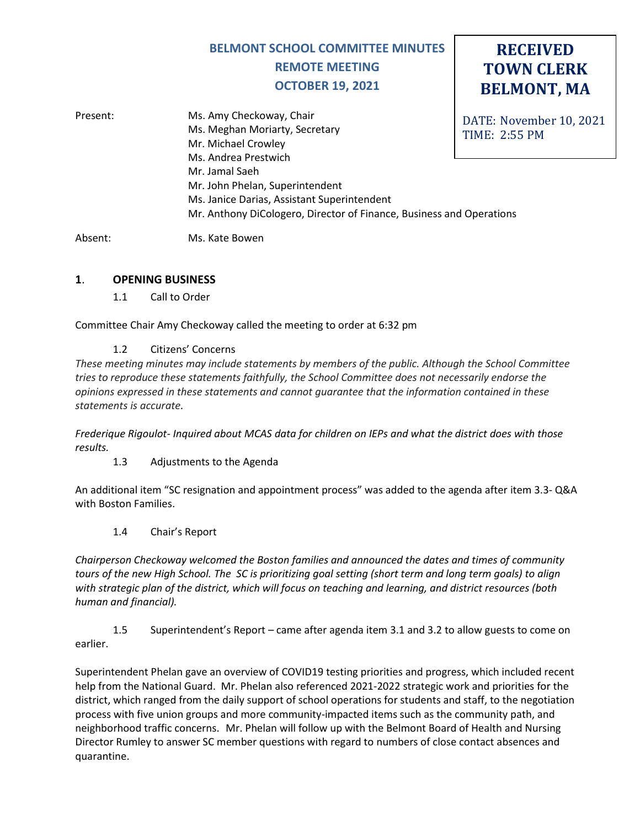# **BELMONT SCHOOL COMMITTEE MINUTES REMOTE MEETING OCTOBER 19, 2021**

# **RECEIVED TOWN CLERK BELMONT, MA**

| Present: | Ms. Amy Checkoway, Chair                                             | DATE: November 10, 2021 |
|----------|----------------------------------------------------------------------|-------------------------|
|          | Ms. Meghan Moriarty, Secretary                                       | <b>TIME: 2:55 PM</b>    |
|          | Mr. Michael Crowley                                                  |                         |
|          | Ms. Andrea Prestwich                                                 |                         |
|          | Mr. Jamal Saeh                                                       |                         |
|          | Mr. John Phelan, Superintendent                                      |                         |
|          | Ms. Janice Darias, Assistant Superintendent                          |                         |
|          | Mr. Anthony DiCologero, Director of Finance, Business and Operations |                         |
|          |                                                                      |                         |

Absent: Ms. Kate Bowen

#### **1**. **OPENING BUSINESS**

1.1 Call to Order

Committee Chair Amy Checkoway called the meeting to order at 6:32 pm

1.2 Citizens' Concerns

*These meeting minutes may include statements by members of the public. Although the School Committee tries to reproduce these statements faithfully, the School Committee does not necessarily endorse the opinions expressed in these statements and cannot guarantee that the information contained in these statements is accurate.*

*Frederique Rigoulot- Inquired about MCAS data for children on IEPs and what the district does with those results.*

1.3 Adjustments to the Agenda

An additional item "SC resignation and appointment process" was added to the agenda after item 3.3- Q&A with Boston Families.

1.4 Chair's Report

*Chairperson Checkoway welcomed the Boston families and announced the dates and times of community tours of the new High School. The SC is prioritizing goal setting (short term and long term goals) to align with strategic plan of the district, which will focus on teaching and learning, and district resources (both human and financial).* 

1.5 Superintendent's Report – came after agenda item 3.1 and 3.2 to allow guests to come on earlier.

Superintendent Phelan gave an overview of COVID19 testing priorities and progress, which included recent help from the National Guard. Mr. Phelan also referenced 2021-2022 strategic work and priorities for the district, which ranged from the daily support of school operations for students and staff, to the negotiation process with five union groups and more community-impacted items such as the community path, and neighborhood traffic concerns. Mr. Phelan will follow up with the Belmont Board of Health and Nursing Director Rumley to answer SC member questions with regard to numbers of close contact absences and quarantine.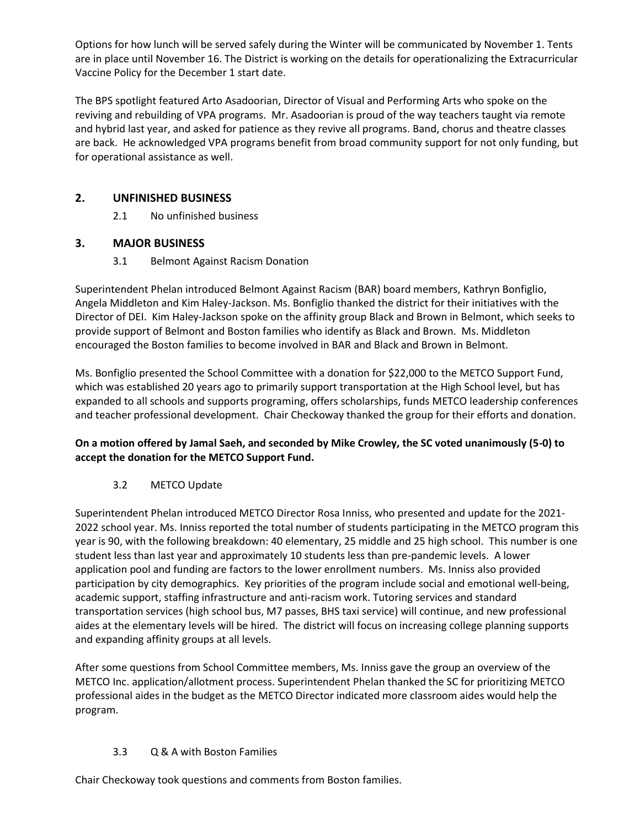Options for how lunch will be served safely during the Winter will be communicated by November 1. Tents are in place until November 16. The District is working on the details for operationalizing the Extracurricular Vaccine Policy for the December 1 start date.

The BPS spotlight featured Arto Asadoorian, Director of Visual and Performing Arts who spoke on the reviving and rebuilding of VPA programs. Mr. Asadoorian is proud of the way teachers taught via remote and hybrid last year, and asked for patience as they revive all programs. Band, chorus and theatre classes are back. He acknowledged VPA programs benefit from broad community support for not only funding, but for operational assistance as well.

## **2. UNFINISHED BUSINESS**

2.1 No unfinished business

## **3. MAJOR BUSINESS**

3.1 Belmont Against Racism Donation

Superintendent Phelan introduced Belmont Against Racism (BAR) board members, Kathryn Bonfiglio, Angela Middleton and Kim Haley-Jackson. Ms. Bonfiglio thanked the district for their initiatives with the Director of DEI. Kim Haley-Jackson spoke on the affinity group Black and Brown in Belmont, which seeks to provide support of Belmont and Boston families who identify as Black and Brown. Ms. Middleton encouraged the Boston families to become involved in BAR and Black and Brown in Belmont.

Ms. Bonfiglio presented the School Committee with a donation for \$22,000 to the METCO Support Fund, which was established 20 years ago to primarily support transportation at the High School level, but has expanded to all schools and supports programing, offers scholarships, funds METCO leadership conferences and teacher professional development. Chair Checkoway thanked the group for their efforts and donation.

## **On a motion offered by Jamal Saeh, and seconded by Mike Crowley, the SC voted unanimously (5-0) to accept the donation for the METCO Support Fund.**

## 3.2 METCO Update

Superintendent Phelan introduced METCO Director Rosa Inniss, who presented and update for the 2021- 2022 school year. Ms. Inniss reported the total number of students participating in the METCO program this year is 90, with the following breakdown: 40 elementary, 25 middle and 25 high school. This number is one student less than last year and approximately 10 students less than pre-pandemic levels. A lower application pool and funding are factors to the lower enrollment numbers. Ms. Inniss also provided participation by city demographics. Key priorities of the program include social and emotional well-being, academic support, staffing infrastructure and anti-racism work. Tutoring services and standard transportation services (high school bus, M7 passes, BHS taxi service) will continue, and new professional aides at the elementary levels will be hired. The district will focus on increasing college planning supports and expanding affinity groups at all levels.

After some questions from School Committee members, Ms. Inniss gave the group an overview of the METCO Inc. application/allotment process. Superintendent Phelan thanked the SC for prioritizing METCO professional aides in the budget as the METCO Director indicated more classroom aides would help the program.

## 3.3 Q & A with Boston Families

Chair Checkoway took questions and comments from Boston families.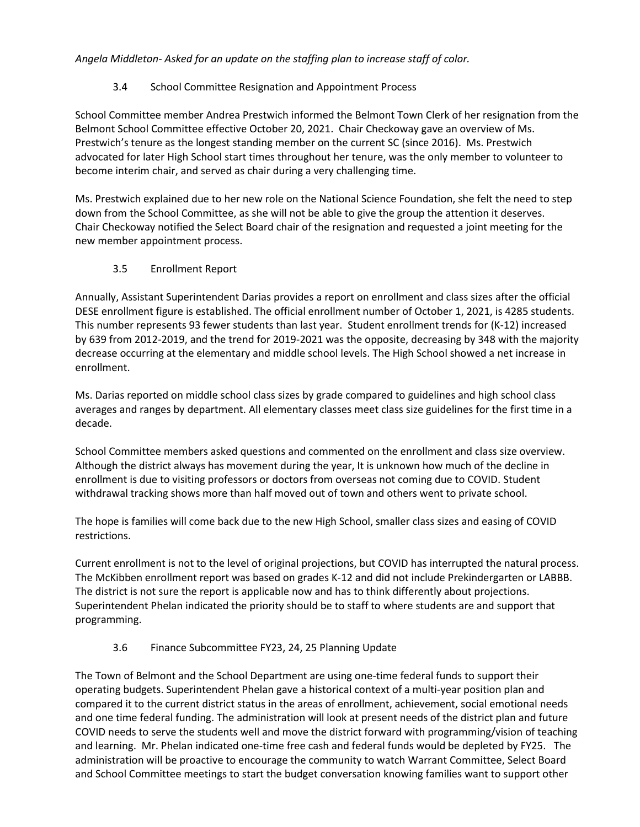*Angela Middleton- Asked for an update on the staffing plan to increase staff of color.* 

## 3.4 School Committee Resignation and Appointment Process

School Committee member Andrea Prestwich informed the Belmont Town Clerk of her resignation from the Belmont School Committee effective October 20, 2021. Chair Checkoway gave an overview of Ms. Prestwich's tenure as the longest standing member on the current SC (since 2016). Ms. Prestwich advocated for later High School start times throughout her tenure, was the only member to volunteer to become interim chair, and served as chair during a very challenging time.

Ms. Prestwich explained due to her new role on the National Science Foundation, she felt the need to step down from the School Committee, as she will not be able to give the group the attention it deserves. Chair Checkoway notified the Select Board chair of the resignation and requested a joint meeting for the new member appointment process.

#### 3.5 Enrollment Report

Annually, Assistant Superintendent Darias provides a report on enrollment and class sizes after the official DESE enrollment figure is established. The official enrollment number of October 1, 2021, is 4285 students. This number represents 93 fewer students than last year. Student enrollment trends for (K-12) increased by 639 from 2012-2019, and the trend for 2019-2021 was the opposite, decreasing by 348 with the majority decrease occurring at the elementary and middle school levels. The High School showed a net increase in enrollment.

Ms. Darias reported on middle school class sizes by grade compared to guidelines and high school class averages and ranges by department. All elementary classes meet class size guidelines for the first time in a decade.

School Committee members asked questions and commented on the enrollment and class size overview. Although the district always has movement during the year, It is unknown how much of the decline in enrollment is due to visiting professors or doctors from overseas not coming due to COVID. Student withdrawal tracking shows more than half moved out of town and others went to private school.

The hope is families will come back due to the new High School, smaller class sizes and easing of COVID restrictions.

Current enrollment is not to the level of original projections, but COVID has interrupted the natural process. The McKibben enrollment report was based on grades K-12 and did not include Prekindergarten or LABBB. The district is not sure the report is applicable now and has to think differently about projections. Superintendent Phelan indicated the priority should be to staff to where students are and support that programming.

#### 3.6 Finance Subcommittee FY23, 24, 25 Planning Update

The Town of Belmont and the School Department are using one-time federal funds to support their operating budgets. Superintendent Phelan gave a historical context of a multi-year position plan and compared it to the current district status in the areas of enrollment, achievement, social emotional needs and one time federal funding. The administration will look at present needs of the district plan and future COVID needs to serve the students well and move the district forward with programming/vision of teaching and learning. Mr. Phelan indicated one-time free cash and federal funds would be depleted by FY25. The administration will be proactive to encourage the community to watch Warrant Committee, Select Board and School Committee meetings to start the budget conversation knowing families want to support other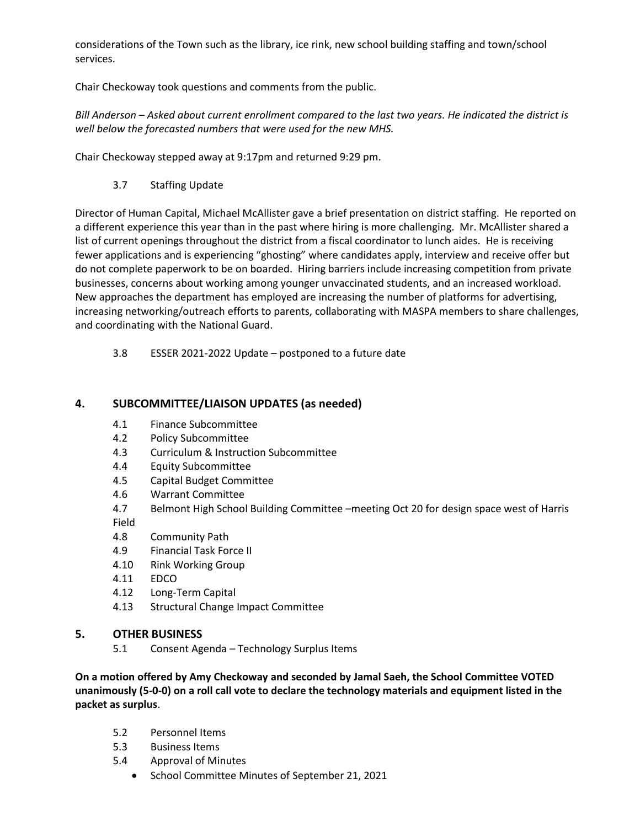considerations of the Town such as the library, ice rink, new school building staffing and town/school services.

Chair Checkoway took questions and comments from the public.

*Bill Anderson – Asked about current enrollment compared to the last two years. He indicated the district is well below the forecasted numbers that were used for the new MHS.*

Chair Checkoway stepped away at 9:17pm and returned 9:29 pm.

3.7 Staffing Update

Director of Human Capital, Michael McAllister gave a brief presentation on district staffing. He reported on a different experience this year than in the past where hiring is more challenging. Mr. McAllister shared a list of current openings throughout the district from a fiscal coordinator to lunch aides. He is receiving fewer applications and is experiencing "ghosting" where candidates apply, interview and receive offer but do not complete paperwork to be on boarded. Hiring barriers include increasing competition from private businesses, concerns about working among younger unvaccinated students, and an increased workload. New approaches the department has employed are increasing the number of platforms for advertising, increasing networking/outreach efforts to parents, collaborating with MASPA members to share challenges, and coordinating with the National Guard.

3.8 ESSER 2021-2022 Update – postponed to a future date

#### **4. SUBCOMMITTEE/LIAISON UPDATES (as needed)**

- 4.1 Finance Subcommittee
- 4.2 Policy Subcommittee
- 4.3 Curriculum & Instruction Subcommittee
- 4.4 Equity Subcommittee
- 4.5 Capital Budget Committee
- 4.6 Warrant Committee
- 4.7 Belmont High School Building Committee –meeting Oct 20 for design space west of Harris

Field

- 4.8 Community Path
- 4.9 Financial Task Force II
- 4.10 Rink Working Group
- 4.11 EDCO
- 4.12 Long-Term Capital
- 4.13 Structural Change Impact Committee

#### **5. OTHER BUSINESS**

5.1 Consent Agenda – Technology Surplus Items

**On a motion offered by Amy Checkoway and seconded by Jamal Saeh, the School Committee VOTED unanimously (5-0-0) on a roll call vote to declare the technology materials and equipment listed in the packet as surplus**.

- 5.2 Personnel Items
- 5.3 Business Items
- 5.4 Approval of Minutes
	- School Committee Minutes of September 21, 2021